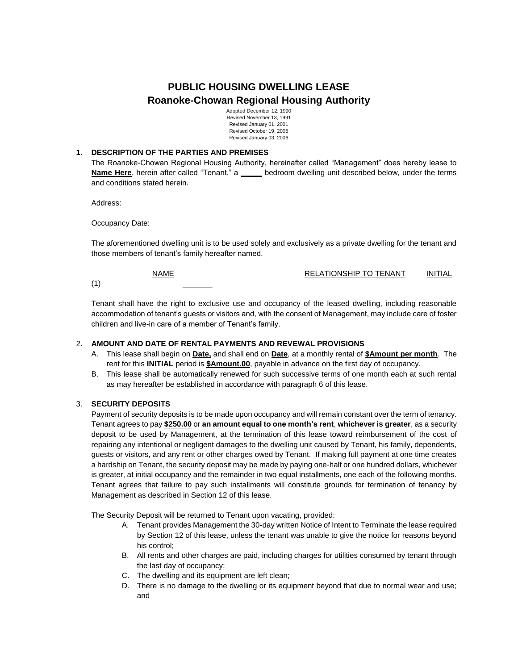# **PUBLIC HOUSING DWELLING LEASE Roanoke-Chowan Regional Housing Authority**

Adopted December 12, 1990 Revised November 13, 1991 Revised January 01. 2001 Revised October 19, 2005 Revised January 03, 2006

## **1. DESCRIPTION OF THE PARTIES AND PREMISES**

The Roanoke-Chowan Regional Housing Authority, hereinafter called "Management" does hereby lease to **Name Here**, herein after called "Tenant," a **\_\_\_\_\_** bedroom dwelling unit described below, under the terms and conditions stated herein.

Address:

Occupancy Date:

The aforementioned dwelling unit is to be used solely and exclusively as a private dwelling for the tenant and those members of tenant's family hereafter named.

NAME **RELATIONSHIP TO TENANT** INITIAL

(1) \_\_\_\_\_\_\_

Tenant shall have the right to exclusive use and occupancy of the leased dwelling, including reasonable accommodation of tenant's guests or visitors and, with the consent of Management, may include care of foster children and live-in care of a member of Tenant's family.

## 2. **AMOUNT AND DATE OF RENTAL PAYMENTS AND REVEWAL PROVISIONS**

- A. This lease shall begin on **Date,** and shall end on **Date**, at a monthly rental of **\$Amount per month**. The rent for this **INITIAL** period is **\$Amount.00**, payable in advance on the first day of occupancy.
- B. This lease shall be automatically renewed for such successive terms of one month each at such rental as may hereafter be established in accordance with paragraph 6 of this lease.

### 3. **SECURITY DEPOSITS**

Payment of security deposits is to be made upon occupancy and will remain constant over the term of tenancy. Tenant agrees to pay **\$250.00** or **an amount equal to one month's rent**, **whichever is greater**, as a security deposit to be used by Management, at the termination of this lease toward reimbursement of the cost of repairing any intentional or negligent damages to the dwelling unit caused by Tenant, his family, dependents, guests or visitors, and any rent or other charges owed by Tenant. If making full payment at one time creates a hardship on Tenant, the security deposit may be made by paying one-half or one hundred dollars, whichever is greater, at initial occupancy and the remainder in two equal installments, one each of the following months. Tenant agrees that failure to pay such installments will constitute grounds for termination of tenancy by Management as described in Section 12 of this lease.

The Security Deposit will be returned to Tenant upon vacating, provided:

- A. Tenant provides Management the 30-day written Notice of Intent to Terminate the lease required by Section 12 of this lease, unless the tenant was unable to give the notice for reasons beyond his control;
- B. All rents and other charges are paid, including charges for utilities consumed by tenant through the last day of occupancy;
- C. The dwelling and its equipment are left clean;
- D. There is no damage to the dwelling or its equipment beyond that due to normal wear and use; and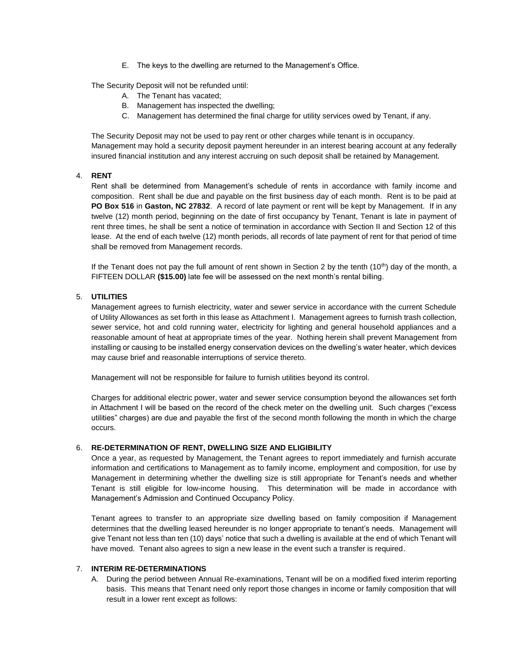E. The keys to the dwelling are returned to the Management's Office.

The Security Deposit will not be refunded until:

- A. The Tenant has vacated;
- B. Management has inspected the dwelling;
- C. Management has determined the final charge for utility services owed by Tenant, if any.

The Security Deposit may not be used to pay rent or other charges while tenant is in occupancy. Management may hold a security deposit payment hereunder in an interest bearing account at any federally insured financial institution and any interest accruing on such deposit shall be retained by Management.

## 4. **RENT**

Rent shall be determined from Management's schedule of rents in accordance with family income and composition. Rent shall be due and payable on the first business day of each month. Rent is to be paid at **PO Box 516** in **Gaston, NC 27832**. A record of late payment or rent will be kept by Management. If in any twelve (12) month period, beginning on the date of first occupancy by Tenant, Tenant is late in payment of rent three times, he shall be sent a notice of termination in accordance with Section II and Section 12 of this lease. At the end of each twelve (12) month periods, all records of late payment of rent for that period of time shall be removed from Management records.

If the Tenant does not pay the full amount of rent shown in Section 2 by the tenth (10<sup>th</sup>) day of the month, a FIFTEEN DOLLAR **(\$15.00)** late fee will be assessed on the next month's rental billing.

# 5. **UTILITIES**

Management agrees to furnish electricity, water and sewer service in accordance with the current Schedule of Utility Allowances as set forth in this lease as Attachment I. Management agrees to furnish trash collection, sewer service, hot and cold running water, electricity for lighting and general household appliances and a reasonable amount of heat at appropriate times of the year. Nothing herein shall prevent Management from installing or causing to be installed energy conservation devices on the dwelling's water heater, which devices may cause brief and reasonable interruptions of service thereto.

Management will not be responsible for failure to furnish utilities beyond its control.

Charges for additional electric power, water and sewer service consumption beyond the allowances set forth in Attachment I will be based on the record of the check meter on the dwelling unit. Such charges ("excess utilities" charges) are due and payable the first of the second month following the month in which the charge occurs.

## 6. **RE-DETERMINATION OF RENT, DWELLING SIZE AND ELIGIBILITY**

Once a year, as requested by Management, the Tenant agrees to report immediately and furnish accurate information and certifications to Management as to family income, employment and composition, for use by Management in determining whether the dwelling size is still appropriate for Tenant's needs and whether Tenant is still eligible for low-income housing. This determination will be made in accordance with Management's Admission and Continued Occupancy Policy.

Tenant agrees to transfer to an appropriate size dwelling based on family composition if Management determines that the dwelling leased hereunder is no longer appropriate to tenant's needs. Management will give Tenant not less than ten (10) days' notice that such a dwelling is available at the end of which Tenant will have moved. Tenant also agrees to sign a new lease in the event such a transfer is required.

## 7. **INTERIM RE-DETERMINATIONS**

A. During the period between Annual Re-examinations, Tenant will be on a modified fixed interim reporting basis. This means that Tenant need only report those changes in income or family composition that will result in a lower rent except as follows: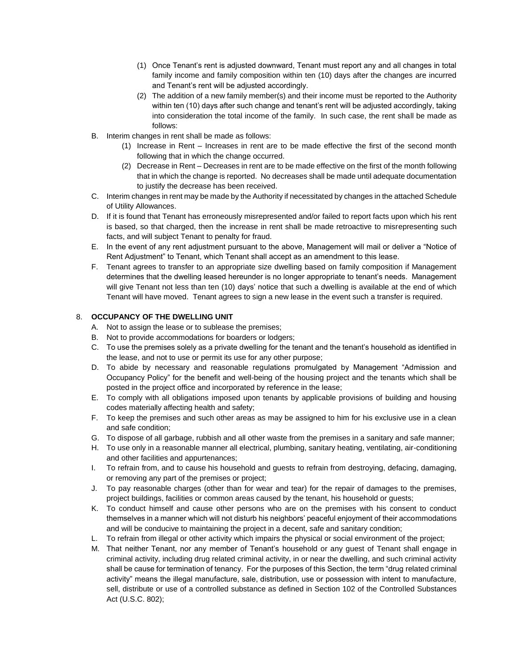- (1) Once Tenant's rent is adjusted downward, Tenant must report any and all changes in total family income and family composition within ten (10) days after the changes are incurred and Tenant's rent will be adjusted accordingly.
- (2) The addition of a new family member(s) and their income must be reported to the Authority within ten (10) days after such change and tenant's rent will be adjusted accordingly, taking into consideration the total income of the family. In such case, the rent shall be made as follows:
- B. Interim changes in rent shall be made as follows:
	- (1) Increase in Rent Increases in rent are to be made effective the first of the second month following that in which the change occurred.
	- (2) Decrease in Rent Decreases in rent are to be made effective on the first of the month following that in which the change is reported. No decreases shall be made until adequate documentation to justify the decrease has been received.
- C. Interim changes in rent may be made by the Authority if necessitated by changes in the attached Schedule of Utility Allowances.
- D. If it is found that Tenant has erroneously misrepresented and/or failed to report facts upon which his rent is based, so that charged, then the increase in rent shall be made retroactive to misrepresenting such facts, and will subject Tenant to penalty for fraud.
- E. In the event of any rent adjustment pursuant to the above, Management will mail or deliver a "Notice of Rent Adjustment" to Tenant, which Tenant shall accept as an amendment to this lease.
- F. Tenant agrees to transfer to an appropriate size dwelling based on family composition if Management determines that the dwelling leased hereunder is no longer appropriate to tenant's needs. Management will give Tenant not less than ten (10) days' notice that such a dwelling is available at the end of which Tenant will have moved. Tenant agrees to sign a new lease in the event such a transfer is required.

# 8. **OCCUPANCY OF THE DWELLING UNIT**

- A. Not to assign the lease or to sublease the premises;
- B. Not to provide accommodations for boarders or lodgers;
- C. To use the premises solely as a private dwelling for the tenant and the tenant's household as identified in the lease, and not to use or permit its use for any other purpose;
- D. To abide by necessary and reasonable regulations promulgated by Management "Admission and Occupancy Policy" for the benefit and well-being of the housing project and the tenants which shall be posted in the project office and incorporated by reference in the lease;
- E. To comply with all obligations imposed upon tenants by applicable provisions of building and housing codes materially affecting health and safety;
- F. To keep the premises and such other areas as may be assigned to him for his exclusive use in a clean and safe condition;
- G. To dispose of all garbage, rubbish and all other waste from the premises in a sanitary and safe manner;
- H. To use only in a reasonable manner all electrical, plumbing, sanitary heating, ventilating, air-conditioning and other facilities and appurtenances;
- I. To refrain from, and to cause his household and guests to refrain from destroying, defacing, damaging, or removing any part of the premises or project;
- J. To pay reasonable charges (other than for wear and tear) for the repair of damages to the premises, project buildings, facilities or common areas caused by the tenant, his household or guests;
- K. To conduct himself and cause other persons who are on the premises with his consent to conduct themselves in a manner which will not disturb his neighbors' peaceful enjoyment of their accommodations and will be conducive to maintaining the project in a decent, safe and sanitary condition;
- L. To refrain from illegal or other activity which impairs the physical or social environment of the project;
- M. That neither Tenant, nor any member of Tenant's household or any guest of Tenant shall engage in criminal activity, including drug related criminal activity, in or near the dwelling, and such criminal activity shall be cause for termination of tenancy. For the purposes of this Section, the term "drug related criminal activity" means the illegal manufacture, sale, distribution, use or possession with intent to manufacture, sell, distribute or use of a controlled substance as defined in Section 102 of the Controlled Substances Act (U.S.C. 802);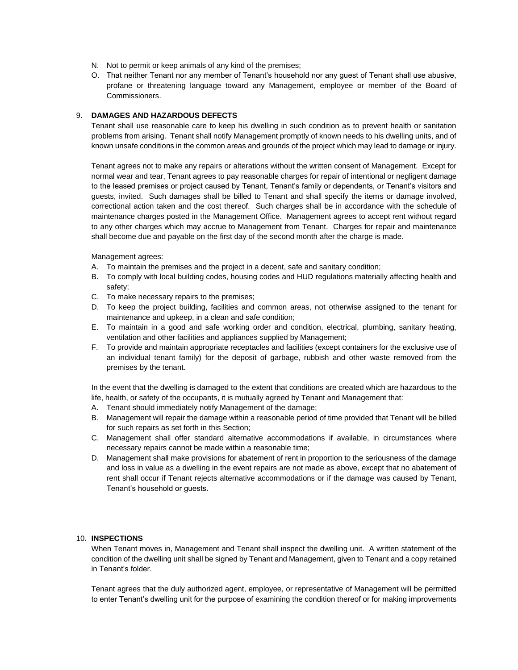- N. Not to permit or keep animals of any kind of the premises;
- O. That neither Tenant nor any member of Tenant's household nor any guest of Tenant shall use abusive, profane or threatening language toward any Management, employee or member of the Board of Commissioners.

## 9. **DAMAGES AND HAZARDOUS DEFECTS**

Tenant shall use reasonable care to keep his dwelling in such condition as to prevent health or sanitation problems from arising. Tenant shall notify Management promptly of known needs to his dwelling units, and of known unsafe conditions in the common areas and grounds of the project which may lead to damage or injury.

Tenant agrees not to make any repairs or alterations without the written consent of Management. Except for normal wear and tear, Tenant agrees to pay reasonable charges for repair of intentional or negligent damage to the leased premises or project caused by Tenant, Tenant's family or dependents, or Tenant's visitors and guests, invited. Such damages shall be billed to Tenant and shall specify the items or damage involved, correctional action taken and the cost thereof. Such charges shall be in accordance with the schedule of maintenance charges posted in the Management Office. Management agrees to accept rent without regard to any other charges which may accrue to Management from Tenant. Charges for repair and maintenance shall become due and payable on the first day of the second month after the charge is made.

Management agrees:

- A. To maintain the premises and the project in a decent, safe and sanitary condition;
- B. To comply with local building codes, housing codes and HUD regulations materially affecting health and safety;
- C. To make necessary repairs to the premises;
- D. To keep the project building, facilities and common areas, not otherwise assigned to the tenant for maintenance and upkeep, in a clean and safe condition;
- E. To maintain in a good and safe working order and condition, electrical, plumbing, sanitary heating, ventilation and other facilities and appliances supplied by Management;
- F. To provide and maintain appropriate receptacles and facilities (except containers for the exclusive use of an individual tenant family) for the deposit of garbage, rubbish and other waste removed from the premises by the tenant.

In the event that the dwelling is damaged to the extent that conditions are created which are hazardous to the life, health, or safety of the occupants, it is mutually agreed by Tenant and Management that:

- A. Tenant should immediately notify Management of the damage;
- B. Management will repair the damage within a reasonable period of time provided that Tenant will be billed for such repairs as set forth in this Section;
- C. Management shall offer standard alternative accommodations if available, in circumstances where necessary repairs cannot be made within a reasonable time;
- D. Management shall make provisions for abatement of rent in proportion to the seriousness of the damage and loss in value as a dwelling in the event repairs are not made as above, except that no abatement of rent shall occur if Tenant rejects alternative accommodations or if the damage was caused by Tenant, Tenant's household or guests.

# 10. **INSPECTIONS**

When Tenant moves in, Management and Tenant shall inspect the dwelling unit. A written statement of the condition of the dwelling unit shall be signed by Tenant and Management, given to Tenant and a copy retained in Tenant's folder.

Tenant agrees that the duly authorized agent, employee, or representative of Management will be permitted to enter Tenant's dwelling unit for the purpose of examining the condition thereof or for making improvements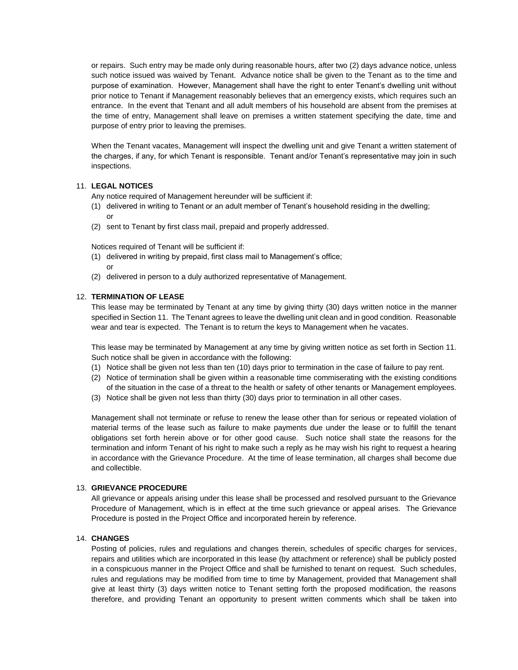or repairs. Such entry may be made only during reasonable hours, after two (2) days advance notice, unless such notice issued was waived by Tenant. Advance notice shall be given to the Tenant as to the time and purpose of examination. However, Management shall have the right to enter Tenant's dwelling unit without prior notice to Tenant if Management reasonably believes that an emergency exists, which requires such an entrance. In the event that Tenant and all adult members of his household are absent from the premises at the time of entry, Management shall leave on premises a written statement specifying the date, time and purpose of entry prior to leaving the premises.

When the Tenant vacates, Management will inspect the dwelling unit and give Tenant a written statement of the charges, if any, for which Tenant is responsible. Tenant and/or Tenant's representative may join in such inspections.

## 11. **LEGAL NOTICES**

Any notice required of Management hereunder will be sufficient if:

- (1) delivered in writing to Tenant or an adult member of Tenant's household residing in the dwelling; or
- (2) sent to Tenant by first class mail, prepaid and properly addressed.

Notices required of Tenant will be sufficient if:

- (1) delivered in writing by prepaid, first class mail to Management's office; or
- (2) delivered in person to a duly authorized representative of Management.

## 12. **TERMINATION OF LEASE**

This lease may be terminated by Tenant at any time by giving thirty (30) days written notice in the manner specified in Section 11. The Tenant agrees to leave the dwelling unit clean and in good condition. Reasonable wear and tear is expected. The Tenant is to return the keys to Management when he vacates.

This lease may be terminated by Management at any time by giving written notice as set forth in Section 11. Such notice shall be given in accordance with the following:

- (1) Notice shall be given not less than ten (10) days prior to termination in the case of failure to pay rent.
- (2) Notice of termination shall be given within a reasonable time commiserating with the existing conditions of the situation in the case of a threat to the health or safety of other tenants or Management employees.
- (3) Notice shall be given not less than thirty (30) days prior to termination in all other cases.

Management shall not terminate or refuse to renew the lease other than for serious or repeated violation of material terms of the lease such as failure to make payments due under the lease or to fulfill the tenant obligations set forth herein above or for other good cause. Such notice shall state the reasons for the termination and inform Tenant of his right to make such a reply as he may wish his right to request a hearing in accordance with the Grievance Procedure. At the time of lease termination, all charges shall become due and collectible.

### 13. **GRIEVANCE PROCEDURE**

All grievance or appeals arising under this lease shall be processed and resolved pursuant to the Grievance Procedure of Management, which is in effect at the time such grievance or appeal arises. The Grievance Procedure is posted in the Project Office and incorporated herein by reference.

#### 14. **CHANGES**

Posting of policies, rules and regulations and changes therein, schedules of specific charges for services, repairs and utilities which are incorporated in this lease (by attachment or reference) shall be publicly posted in a conspicuous manner in the Project Office and shall be furnished to tenant on request. Such schedules, rules and regulations may be modified from time to time by Management, provided that Management shall give at least thirty (3) days written notice to Tenant setting forth the proposed modification, the reasons therefore, and providing Tenant an opportunity to present written comments which shall be taken into